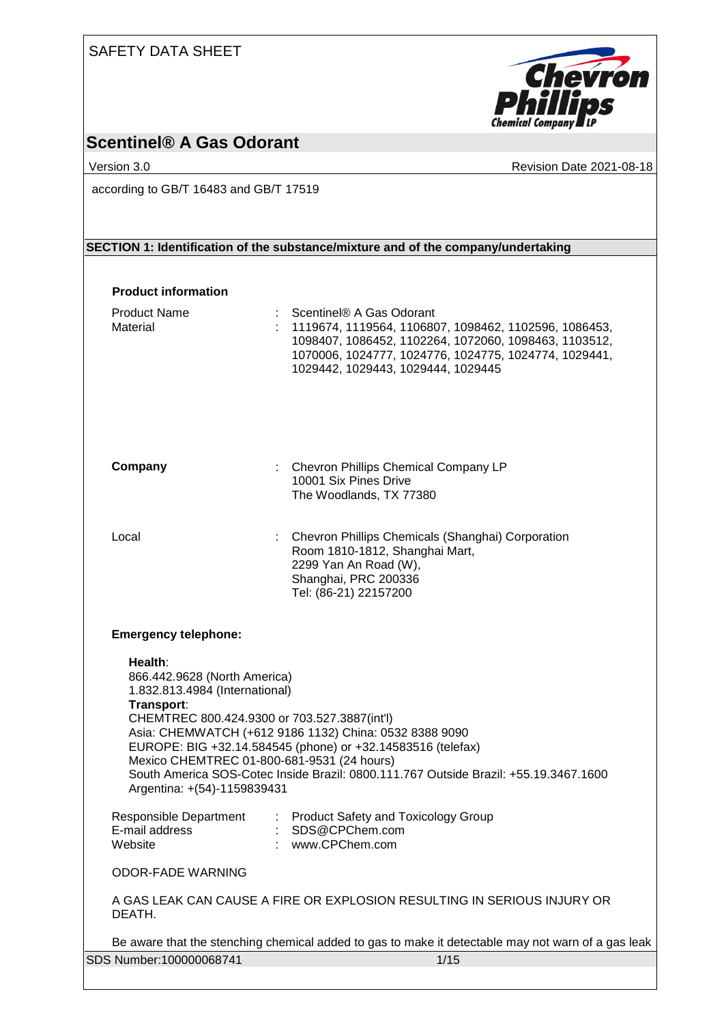| <b>SAFETY DATA SHEET</b> |  |  |
|--------------------------|--|--|
|                          |  |  |



# **Scentinel® A Gas Odorant**

Version 3.0 Revision Date 2021-08-18

according to GB/T 16483 and GB/T 17519

### **SECTION 1: Identification of the substance/mixture and of the company/undertaking**

#### **Product information**

| <b>Product Name</b><br>Material                                                                                                                                                                                      | Scentinel® A Gas Odorant<br>1119674, 1119564, 1106807, 1098462, 1102596, 1086453,<br>1098407, 1086452, 1102264, 1072060, 1098463, 1103512,<br>1070006, 1024777, 1024776, 1024775, 1024774, 1029441,<br>1029442, 1029443, 1029444, 1029445 |
|----------------------------------------------------------------------------------------------------------------------------------------------------------------------------------------------------------------------|-------------------------------------------------------------------------------------------------------------------------------------------------------------------------------------------------------------------------------------------|
| Company                                                                                                                                                                                                              | : Chevron Phillips Chemical Company LP<br>10001 Six Pines Drive<br>The Woodlands, TX 77380                                                                                                                                                |
| Local                                                                                                                                                                                                                | : Chevron Phillips Chemicals (Shanghai) Corporation<br>Room 1810-1812, Shanghai Mart,<br>2299 Yan An Road (W),<br>Shanghai, PRC 200336<br>Tel: (86-21) 22157200                                                                           |
| <b>Emergency telephone:</b>                                                                                                                                                                                          |                                                                                                                                                                                                                                           |
| Health:<br>866.442.9628 (North America)<br>1.832.813.4984 (International)<br>Transport:<br>CHEMTREC 800.424.9300 or 703.527.3887(int'l)<br>Mexico CHEMTREC 01-800-681-9531 (24 hours)<br>Argentina: +(54)-1159839431 | Asia: CHEMWATCH (+612 9186 1132) China: 0532 8388 9090<br>EUROPE: BIG +32.14.584545 (phone) or +32.14583516 (telefax)<br>South America SOS-Cotec Inside Brazil: 0800.111.767 Outside Brazil: +55.19.3467.1600                             |
| Responsible Department<br>E-mail address<br>Website                                                                                                                                                                  | : Product Safety and Toxicology Group<br>SDS@CPChem.com<br>www.CPChem.com                                                                                                                                                                 |
| <b>ODOR-FADE WARNING</b>                                                                                                                                                                                             |                                                                                                                                                                                                                                           |
| DEATH.                                                                                                                                                                                                               | A GAS LEAK CAN CAUSE A FIRE OR EXPLOSION RESULTING IN SERIOUS INJURY OR                                                                                                                                                                   |
|                                                                                                                                                                                                                      | Be aware that the stenching chemical added to gas to make it detectable may not warn of a gas leak                                                                                                                                        |
| SDS Number:100000068741                                                                                                                                                                                              | 1/15                                                                                                                                                                                                                                      |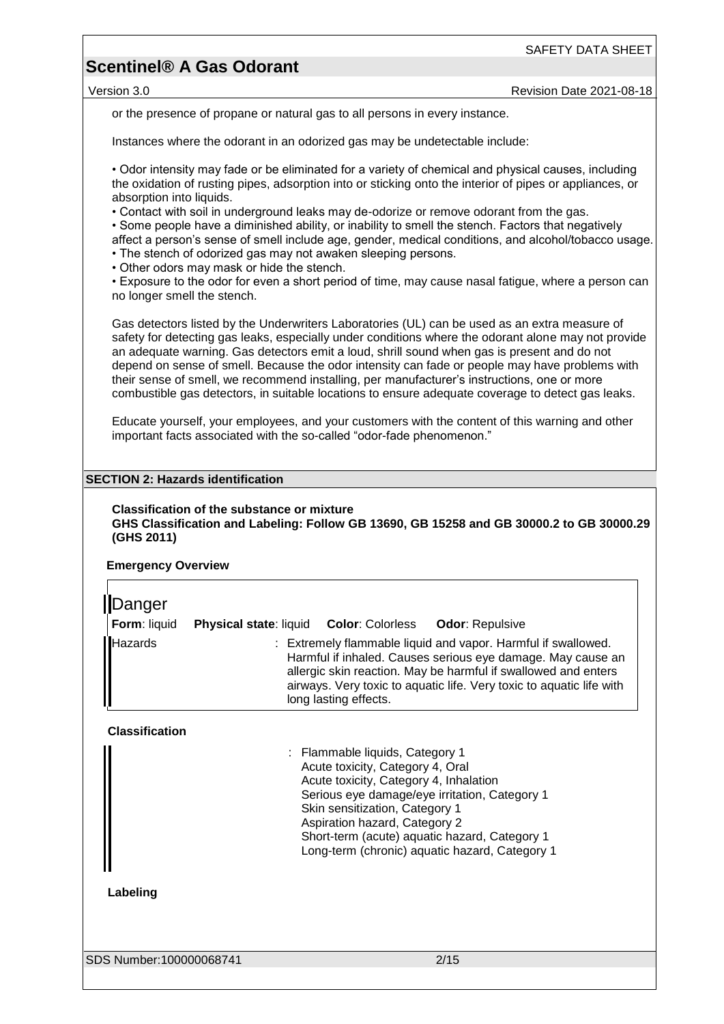## **Scentinel® A Gas Odorant**

or the presence of propane or natural gas to all persons in every instance.

Instances where the odorant in an odorized gas may be undetectable include:

• Odor intensity may fade or be eliminated for a variety of chemical and physical causes, including the oxidation of rusting pipes, adsorption into or sticking onto the interior of pipes or appliances, or absorption into liquids.

• Contact with soil in underground leaks may de-odorize or remove odorant from the gas.

• Some people have a diminished ability, or inability to smell the stench. Factors that negatively affect a person's sense of smell include age, gender, medical conditions, and alcohol/tobacco usage.

• The stench of odorized gas may not awaken sleeping persons.

• Other odors may mask or hide the stench.

• Exposure to the odor for even a short period of time, may cause nasal fatigue, where a person can no longer smell the stench.

Gas detectors listed by the Underwriters Laboratories (UL) can be used as an extra measure of safety for detecting gas leaks, especially under conditions where the odorant alone may not provide an adequate warning. Gas detectors emit a loud, shrill sound when gas is present and do not depend on sense of smell. Because the odor intensity can fade or people may have problems with their sense of smell, we recommend installing, per manufacturer's instructions, one or more combustible gas detectors, in suitable locations to ensure adequate coverage to detect gas leaks.

Educate yourself, your employees, and your customers with the content of this warning and other important facts associated with the so-called "odor-fade phenomenon."

#### **SECTION 2: Hazards identification**

#### **Classification of the substance or mixture GHS Classification and Labeling: Follow GB 13690, GB 15258 and GB 30000.2 to GB 30000.29 (GHS 2011)**

#### **Emergency Overview**

| Danger<br>Form: liquid | <b>Physical state: liquid</b><br><b>Color: Colorless</b><br><b>Odor: Repulsive</b>                                                                                                                                                                                                              |
|------------------------|-------------------------------------------------------------------------------------------------------------------------------------------------------------------------------------------------------------------------------------------------------------------------------------------------|
| <b>Hazards</b>         | : Extremely flammable liquid and vapor. Harmful if swallowed.<br>Harmful if inhaled. Causes serious eye damage. May cause an<br>allergic skin reaction. May be harmful if swallowed and enters<br>airways. Very toxic to aquatic life. Very toxic to aquatic life with<br>long lasting effects. |

#### **Classification**

| : Flammable liquids, Category 1                |  |
|------------------------------------------------|--|
| Acute toxicity, Category 4, Oral               |  |
| Acute toxicity, Category 4, Inhalation         |  |
| Serious eye damage/eye irritation, Category 1  |  |
| Skin sensitization, Category 1                 |  |
| Aspiration hazard, Category 2                  |  |
| Short-term (acute) aquatic hazard, Category 1  |  |
| Long-term (chronic) aquatic hazard, Category 1 |  |
|                                                |  |

#### **Labeling**

SDS Number:100000068741 2/15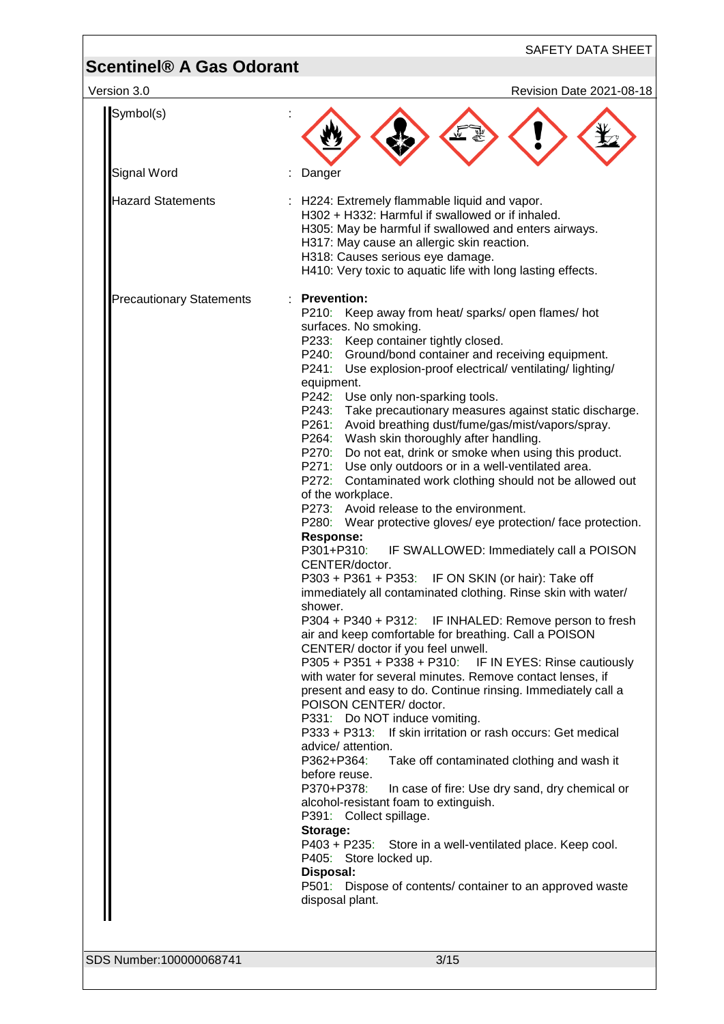| <b>Scentinel® A Gas Odorant</b> | <b>SAFETY DATA SHEET</b>                                                                                                                                                                                                                                                                                                                                                                                                                                                                                                                                                                                                                                                                                                                                                                                                                                                                                                                                                                                                                                                                                                                                                                                                                                                                                                                                                                                                                                                                                                                                                                                                                                                                                                                                                                                                                                                                                                                                       |
|---------------------------------|----------------------------------------------------------------------------------------------------------------------------------------------------------------------------------------------------------------------------------------------------------------------------------------------------------------------------------------------------------------------------------------------------------------------------------------------------------------------------------------------------------------------------------------------------------------------------------------------------------------------------------------------------------------------------------------------------------------------------------------------------------------------------------------------------------------------------------------------------------------------------------------------------------------------------------------------------------------------------------------------------------------------------------------------------------------------------------------------------------------------------------------------------------------------------------------------------------------------------------------------------------------------------------------------------------------------------------------------------------------------------------------------------------------------------------------------------------------------------------------------------------------------------------------------------------------------------------------------------------------------------------------------------------------------------------------------------------------------------------------------------------------------------------------------------------------------------------------------------------------------------------------------------------------------------------------------------------------|
| Version 3.0                     | Revision Date 2021-08-18                                                                                                                                                                                                                                                                                                                                                                                                                                                                                                                                                                                                                                                                                                                                                                                                                                                                                                                                                                                                                                                                                                                                                                                                                                                                                                                                                                                                                                                                                                                                                                                                                                                                                                                                                                                                                                                                                                                                       |
| Symbol(s)                       |                                                                                                                                                                                                                                                                                                                                                                                                                                                                                                                                                                                                                                                                                                                                                                                                                                                                                                                                                                                                                                                                                                                                                                                                                                                                                                                                                                                                                                                                                                                                                                                                                                                                                                                                                                                                                                                                                                                                                                |
| Signal Word                     | Danger                                                                                                                                                                                                                                                                                                                                                                                                                                                                                                                                                                                                                                                                                                                                                                                                                                                                                                                                                                                                                                                                                                                                                                                                                                                                                                                                                                                                                                                                                                                                                                                                                                                                                                                                                                                                                                                                                                                                                         |
| <b>Hazard Statements</b>        | : H224: Extremely flammable liquid and vapor.<br>H302 + H332: Harmful if swallowed or if inhaled.<br>H305: May be harmful if swallowed and enters airways.<br>H317: May cause an allergic skin reaction.<br>H318: Causes serious eye damage.<br>H410: Very toxic to aquatic life with long lasting effects.                                                                                                                                                                                                                                                                                                                                                                                                                                                                                                                                                                                                                                                                                                                                                                                                                                                                                                                                                                                                                                                                                                                                                                                                                                                                                                                                                                                                                                                                                                                                                                                                                                                    |
| <b>Precautionary Statements</b> | : Prevention:<br>P210: Keep away from heat/ sparks/ open flames/ hot<br>surfaces. No smoking.<br>P233: Keep container tightly closed.<br>P240: Ground/bond container and receiving equipment.<br>P241: Use explosion-proof electrical/ventilating/lighting/<br>equipment.<br>P242: Use only non-sparking tools.<br>P243: Take precautionary measures against static discharge.<br>P261: Avoid breathing dust/fume/gas/mist/vapors/spray.<br>P264: Wash skin thoroughly after handling.<br>P270: Do not eat, drink or smoke when using this product.<br>P271: Use only outdoors or in a well-ventilated area.<br>P272: Contaminated work clothing should not be allowed out<br>of the workplace.<br>P273: Avoid release to the environment.<br>P280: Wear protective gloves/ eye protection/face protection.<br><b>Response:</b><br>P301+P310:<br>IF SWALLOWED: Immediately call a POISON<br>CENTER/doctor.<br>P303 + P361 + P353: IF ON SKIN (or hair): Take off<br>immediately all contaminated clothing. Rinse skin with water/<br>shower.<br>P304 + P340 + P312: IF INHALED: Remove person to fresh<br>air and keep comfortable for breathing. Call a POISON<br>CENTER/ doctor if you feel unwell.<br>P305 + P351 + P338 + P310: IF IN EYES: Rinse cautiously<br>with water for several minutes. Remove contact lenses, if<br>present and easy to do. Continue rinsing. Immediately call a<br>POISON CENTER/ doctor.<br>P331: Do NOT induce vomiting.<br>P333 + P313: If skin irritation or rash occurs: Get medical<br>advice/ attention.<br>P362+P364:<br>Take off contaminated clothing and wash it<br>before reuse.<br>P370+P378:<br>In case of fire: Use dry sand, dry chemical or<br>alcohol-resistant foam to extinguish.<br>P391: Collect spillage.<br>Storage:<br>P403 + P235: Store in a well-ventilated place. Keep cool.<br>P405: Store locked up.<br>Disposal:<br>P501: Dispose of contents/ container to an approved waste<br>disposal plant. |
| SDS Number:100000068741         | 3/15                                                                                                                                                                                                                                                                                                                                                                                                                                                                                                                                                                                                                                                                                                                                                                                                                                                                                                                                                                                                                                                                                                                                                                                                                                                                                                                                                                                                                                                                                                                                                                                                                                                                                                                                                                                                                                                                                                                                                           |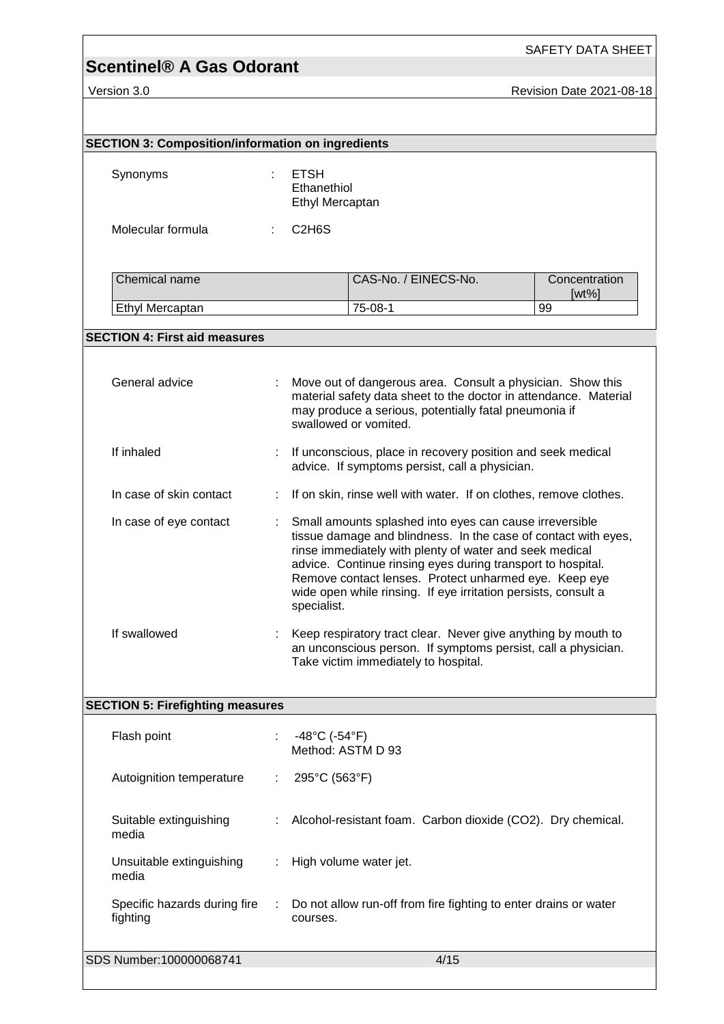# **Scentinel® A Gas Odorant**

SAFETY DATA SHEET

Version 3.0 **Revision Date 2021-08-18** 

| <b>SECTION 3: Composition/information on ingredients</b> |   |                                                                                                                                                                                                                                                                                                                                                                                               |                           |
|----------------------------------------------------------|---|-----------------------------------------------------------------------------------------------------------------------------------------------------------------------------------------------------------------------------------------------------------------------------------------------------------------------------------------------------------------------------------------------|---------------------------|
| Synonyms                                                 |   | <b>ETSH</b><br>Ethanethiol<br>Ethyl Mercaptan                                                                                                                                                                                                                                                                                                                                                 |                           |
| Molecular formula                                        |   | C <sub>2</sub> H <sub>6</sub> S                                                                                                                                                                                                                                                                                                                                                               |                           |
| Chemical name                                            |   | CAS-No. / EINECS-No.                                                                                                                                                                                                                                                                                                                                                                          | Concentration<br>$[wt\%]$ |
| Ethyl Mercaptan                                          |   | 75-08-1                                                                                                                                                                                                                                                                                                                                                                                       | 99                        |
| <b>SECTION 4: First aid measures</b>                     |   |                                                                                                                                                                                                                                                                                                                                                                                               |                           |
| General advice                                           |   | Move out of dangerous area. Consult a physician. Show this<br>material safety data sheet to the doctor in attendance. Material<br>may produce a serious, potentially fatal pneumonia if<br>swallowed or vomited.                                                                                                                                                                              |                           |
| If inhaled                                               |   | If unconscious, place in recovery position and seek medical<br>advice. If symptoms persist, call a physician.                                                                                                                                                                                                                                                                                 |                           |
| In case of skin contact                                  |   | If on skin, rinse well with water. If on clothes, remove clothes.                                                                                                                                                                                                                                                                                                                             |                           |
| In case of eye contact                                   |   | Small amounts splashed into eyes can cause irreversible<br>tissue damage and blindness. In the case of contact with eyes,<br>rinse immediately with plenty of water and seek medical<br>advice. Continue rinsing eyes during transport to hospital.<br>Remove contact lenses. Protect unharmed eye. Keep eye<br>wide open while rinsing. If eye irritation persists, consult a<br>specialist. |                           |
| If swallowed                                             |   | Keep respiratory tract clear. Never give anything by mouth to<br>an unconscious person. If symptoms persist, call a physician.<br>Take victim immediately to hospital.                                                                                                                                                                                                                        |                           |
| <b>SECTION 5: Firefighting measures</b>                  |   |                                                                                                                                                                                                                                                                                                                                                                                               |                           |
| Flash point                                              |   | $-48^{\circ}$ C (-54 $^{\circ}$ F)<br>Method: ASTM D 93                                                                                                                                                                                                                                                                                                                                       |                           |
| Autoignition temperature                                 | ÷ | 295°C (563°F)                                                                                                                                                                                                                                                                                                                                                                                 |                           |
| Suitable extinguishing<br>media                          |   | Alcohol-resistant foam. Carbon dioxide (CO2). Dry chemical.                                                                                                                                                                                                                                                                                                                                   |                           |
| Unsuitable extinguishing<br>media                        | ÷ | High volume water jet.                                                                                                                                                                                                                                                                                                                                                                        |                           |
| Specific hazards during fire<br>fighting                 |   | Do not allow run-off from fire fighting to enter drains or water<br>courses.                                                                                                                                                                                                                                                                                                                  |                           |
| SDS Number:100000068741                                  |   | 4/15                                                                                                                                                                                                                                                                                                                                                                                          |                           |
|                                                          |   |                                                                                                                                                                                                                                                                                                                                                                                               |                           |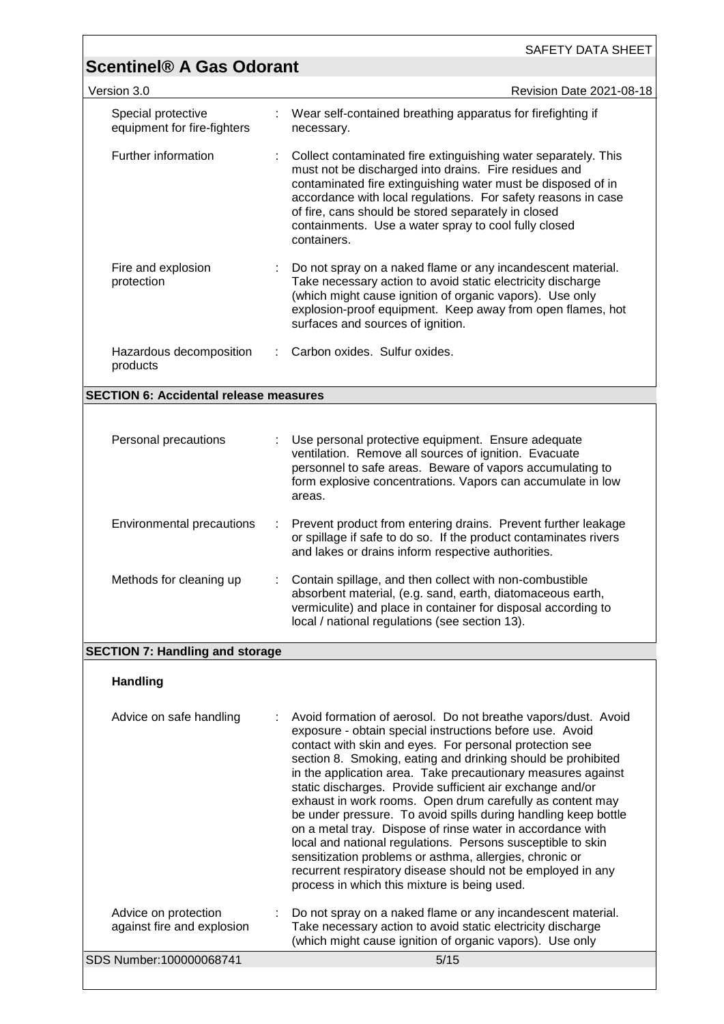|                                        | SAFETY DATA SHEET                                                                                                                                                                                                                                                                                                                                                                                                                                                                                                                                                                                                                                                                                                                                                                                                       |
|----------------------------------------|-------------------------------------------------------------------------------------------------------------------------------------------------------------------------------------------------------------------------------------------------------------------------------------------------------------------------------------------------------------------------------------------------------------------------------------------------------------------------------------------------------------------------------------------------------------------------------------------------------------------------------------------------------------------------------------------------------------------------------------------------------------------------------------------------------------------------|
|                                        | Revision Date 2021-08-18                                                                                                                                                                                                                                                                                                                                                                                                                                                                                                                                                                                                                                                                                                                                                                                                |
|                                        | Wear self-contained breathing apparatus for firefighting if<br>necessary.                                                                                                                                                                                                                                                                                                                                                                                                                                                                                                                                                                                                                                                                                                                                               |
|                                        | Collect contaminated fire extinguishing water separately. This<br>must not be discharged into drains. Fire residues and<br>contaminated fire extinguishing water must be disposed of in<br>accordance with local regulations. For safety reasons in case<br>of fire, cans should be stored separately in closed<br>containments. Use a water spray to cool fully closed<br>containers.                                                                                                                                                                                                                                                                                                                                                                                                                                  |
|                                        | Do not spray on a naked flame or any incandescent material.<br>Take necessary action to avoid static electricity discharge<br>(which might cause ignition of organic vapors). Use only<br>explosion-proof equipment. Keep away from open flames, hot<br>surfaces and sources of ignition.                                                                                                                                                                                                                                                                                                                                                                                                                                                                                                                               |
|                                        | Carbon oxides. Sulfur oxides.                                                                                                                                                                                                                                                                                                                                                                                                                                                                                                                                                                                                                                                                                                                                                                                           |
|                                        | <b>SECTION 6: Accidental release measures</b>                                                                                                                                                                                                                                                                                                                                                                                                                                                                                                                                                                                                                                                                                                                                                                           |
|                                        |                                                                                                                                                                                                                                                                                                                                                                                                                                                                                                                                                                                                                                                                                                                                                                                                                         |
|                                        | Use personal protective equipment. Ensure adequate<br>ventilation. Remove all sources of ignition. Evacuate<br>personnel to safe areas. Beware of vapors accumulating to<br>form explosive concentrations. Vapors can accumulate in low<br>areas.                                                                                                                                                                                                                                                                                                                                                                                                                                                                                                                                                                       |
| ÷                                      | Prevent product from entering drains. Prevent further leakage<br>or spillage if safe to do so. If the product contaminates rivers<br>and lakes or drains inform respective authorities.                                                                                                                                                                                                                                                                                                                                                                                                                                                                                                                                                                                                                                 |
|                                        | Contain spillage, and then collect with non-combustible<br>absorbent material, (e.g. sand, earth, diatomaceous earth,<br>vermiculite) and place in container for disposal according to<br>local / national regulations (see section 13).                                                                                                                                                                                                                                                                                                                                                                                                                                                                                                                                                                                |
| <b>SECTION 7: Handling and storage</b> |                                                                                                                                                                                                                                                                                                                                                                                                                                                                                                                                                                                                                                                                                                                                                                                                                         |
|                                        |                                                                                                                                                                                                                                                                                                                                                                                                                                                                                                                                                                                                                                                                                                                                                                                                                         |
|                                        | Avoid formation of aerosol. Do not breathe vapors/dust. Avoid<br>exposure - obtain special instructions before use. Avoid<br>contact with skin and eyes. For personal protection see<br>section 8. Smoking, eating and drinking should be prohibited<br>in the application area. Take precautionary measures against<br>static discharges. Provide sufficient air exchange and/or<br>exhaust in work rooms. Open drum carefully as content may<br>be under pressure. To avoid spills during handling keep bottle<br>on a metal tray. Dispose of rinse water in accordance with<br>local and national regulations. Persons susceptible to skin<br>sensitization problems or asthma, allergies, chronic or<br>recurrent respiratory disease should not be employed in any<br>process in which this mixture is being used. |
|                                        | Do not spray on a naked flame or any incandescent material.<br>Take necessary action to avoid static electricity discharge<br>(which might cause ignition of organic vapors). Use only                                                                                                                                                                                                                                                                                                                                                                                                                                                                                                                                                                                                                                  |
|                                        | <b>Scentinel® A Gas Odorant</b>                                                                                                                                                                                                                                                                                                                                                                                                                                                                                                                                                                                                                                                                                                                                                                                         |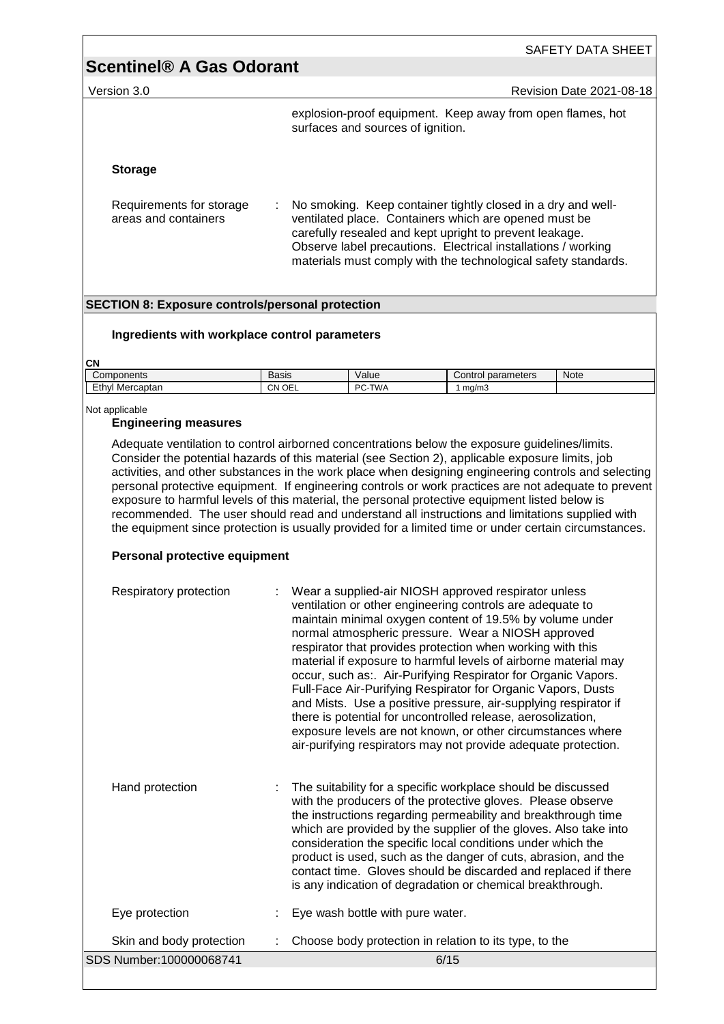|                                                  | SAFETY DATA SHEET                                                                                                                                                                                                                                                                                                         |
|--------------------------------------------------|---------------------------------------------------------------------------------------------------------------------------------------------------------------------------------------------------------------------------------------------------------------------------------------------------------------------------|
| <b>Scentinel® A Gas Odorant</b>                  |                                                                                                                                                                                                                                                                                                                           |
| Version 3.0                                      | <b>Revision Date 2021-08-18</b>                                                                                                                                                                                                                                                                                           |
|                                                  | explosion-proof equipment. Keep away from open flames, hot<br>surfaces and sources of ignition.                                                                                                                                                                                                                           |
| <b>Storage</b>                                   |                                                                                                                                                                                                                                                                                                                           |
| Requirements for storage<br>areas and containers | No smoking. Keep container tightly closed in a dry and well-<br>÷.<br>ventilated place. Containers which are opened must be<br>carefully resealed and kept upright to prevent leakage.<br>Observe label precautions. Electrical installations / working<br>materials must comply with the technological safety standards. |

#### **SECTION 8: Exposure controls/personal protection**

#### **Ingredients with workplace control parameters**

#### **CN**

| -<br>Components                 | -<br>Basis | alue/             | neters<br>30rom<br>Jontrol<br>ualal | Note |
|---------------------------------|------------|-------------------|-------------------------------------|------|
| Ethyl<br>ercaptan<br><b>Mer</b> | OEL<br>CΝ  | <b>TWA</b><br>DC. | ma/m.                               |      |

#### Not applicable

#### **Engineering measures**

Adequate ventilation to control airborned concentrations below the exposure guidelines/limits. Consider the potential hazards of this material (see Section 2), applicable exposure limits, job activities, and other substances in the work place when designing engineering controls and selecting personal protective equipment. If engineering controls or work practices are not adequate to prevent exposure to harmful levels of this material, the personal protective equipment listed below is recommended. The user should read and understand all instructions and limitations supplied with the equipment since protection is usually provided for a limited time or under certain circumstances.

#### **Personal protective equipment**

| Respiratory protection   | : Wear a supplied-air NIOSH approved respirator unless<br>ventilation or other engineering controls are adequate to<br>maintain minimal oxygen content of 19.5% by volume under<br>normal atmospheric pressure. Wear a NIOSH approved<br>respirator that provides protection when working with this<br>material if exposure to harmful levels of airborne material may<br>occur, such as: Air-Purifying Respirator for Organic Vapors.<br>Full-Face Air-Purifying Respirator for Organic Vapors, Dusts<br>and Mists. Use a positive pressure, air-supplying respirator if<br>there is potential for uncontrolled release, aerosolization,<br>exposure levels are not known, or other circumstances where<br>air-purifying respirators may not provide adequate protection. |
|--------------------------|----------------------------------------------------------------------------------------------------------------------------------------------------------------------------------------------------------------------------------------------------------------------------------------------------------------------------------------------------------------------------------------------------------------------------------------------------------------------------------------------------------------------------------------------------------------------------------------------------------------------------------------------------------------------------------------------------------------------------------------------------------------------------|
| Hand protection          | The suitability for a specific workplace should be discussed<br>with the producers of the protective gloves. Please observe<br>the instructions regarding permeability and breakthrough time<br>which are provided by the supplier of the gloves. Also take into<br>consideration the specific local conditions under which the<br>product is used, such as the danger of cuts, abrasion, and the<br>contact time. Gloves should be discarded and replaced if there<br>is any indication of degradation or chemical breakthrough.                                                                                                                                                                                                                                          |
| Eye protection           | Eye wash bottle with pure water.                                                                                                                                                                                                                                                                                                                                                                                                                                                                                                                                                                                                                                                                                                                                           |
| Skin and body protection | Choose body protection in relation to its type, to the                                                                                                                                                                                                                                                                                                                                                                                                                                                                                                                                                                                                                                                                                                                     |
| SDS Number:100000068741  | 6/15                                                                                                                                                                                                                                                                                                                                                                                                                                                                                                                                                                                                                                                                                                                                                                       |
|                          |                                                                                                                                                                                                                                                                                                                                                                                                                                                                                                                                                                                                                                                                                                                                                                            |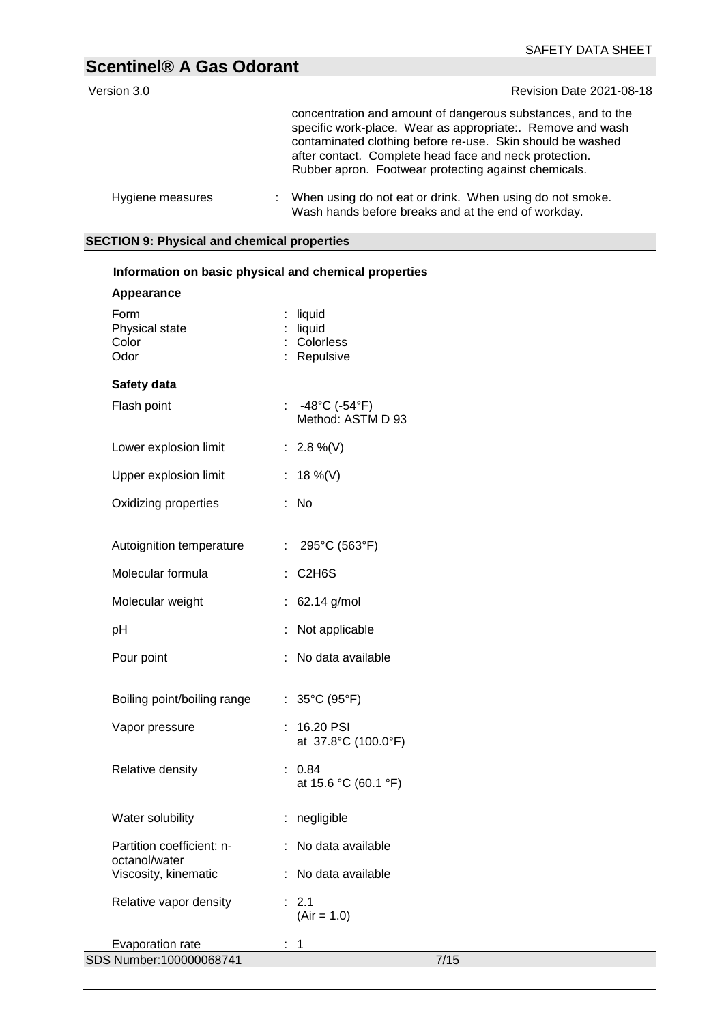| Version 3.0                                        | Revision Date 2021-08-18                                                                                                                                                                                                                                                                                   |
|----------------------------------------------------|------------------------------------------------------------------------------------------------------------------------------------------------------------------------------------------------------------------------------------------------------------------------------------------------------------|
|                                                    | concentration and amount of dangerous substances, and to the<br>specific work-place. Wear as appropriate:. Remove and wash<br>contaminated clothing before re-use. Skin should be washed<br>after contact. Complete head face and neck protection.<br>Rubber apron. Footwear protecting against chemicals. |
| Hygiene measures                                   | When using do not eat or drink. When using do not smoke.<br>÷.<br>Wash hands before breaks and at the end of workday.                                                                                                                                                                                      |
| <b>SECTION 9: Physical and chemical properties</b> |                                                                                                                                                                                                                                                                                                            |
|                                                    | Information on basic physical and chemical properties                                                                                                                                                                                                                                                      |
| Appearance                                         |                                                                                                                                                                                                                                                                                                            |
| Form                                               | liquid                                                                                                                                                                                                                                                                                                     |
| Physical state<br>Color                            | liquid<br>Colorless                                                                                                                                                                                                                                                                                        |
| Odor                                               | Repulsive                                                                                                                                                                                                                                                                                                  |
| Safety data                                        |                                                                                                                                                                                                                                                                                                            |
| Flash point                                        | : $-48^{\circ}$ C ( $-54^{\circ}$ F)<br>Method: ASTM D 93                                                                                                                                                                                                                                                  |
| Lower explosion limit                              | : 2.8 %(V)                                                                                                                                                                                                                                                                                                 |
| Upper explosion limit                              | : 18 %(V)                                                                                                                                                                                                                                                                                                  |
| Oxidizing properties                               | $:$ No                                                                                                                                                                                                                                                                                                     |
| Autoignition temperature                           | 295°C (563°F)                                                                                                                                                                                                                                                                                              |
| Molecular formula                                  | $:$ C2H6S                                                                                                                                                                                                                                                                                                  |
| Molecular weight                                   | $: 62.14$ g/mol                                                                                                                                                                                                                                                                                            |
| pH                                                 | Not applicable                                                                                                                                                                                                                                                                                             |
| Pour point                                         | No data available                                                                                                                                                                                                                                                                                          |
| Boiling point/boiling range                        | : $35^{\circ}$ C (95 $^{\circ}$ F)                                                                                                                                                                                                                                                                         |
| Vapor pressure                                     | $: 16.20$ PSI<br>at 37.8°C (100.0°F)                                                                                                                                                                                                                                                                       |
| Relative density                                   | : 0.84<br>at 15.6 °C (60.1 °F)                                                                                                                                                                                                                                                                             |
| Water solubility                                   | : negligible                                                                                                                                                                                                                                                                                               |
| Partition coefficient: n-<br>octanol/water         | : No data available                                                                                                                                                                                                                                                                                        |
| Viscosity, kinematic                               | : No data available                                                                                                                                                                                                                                                                                        |
| Relative vapor density                             | : 2.1<br>$(Air = 1.0)$                                                                                                                                                                                                                                                                                     |
| Evaporation rate                                   | 1                                                                                                                                                                                                                                                                                                          |

ſ

 $\overline{\phantom{0}}$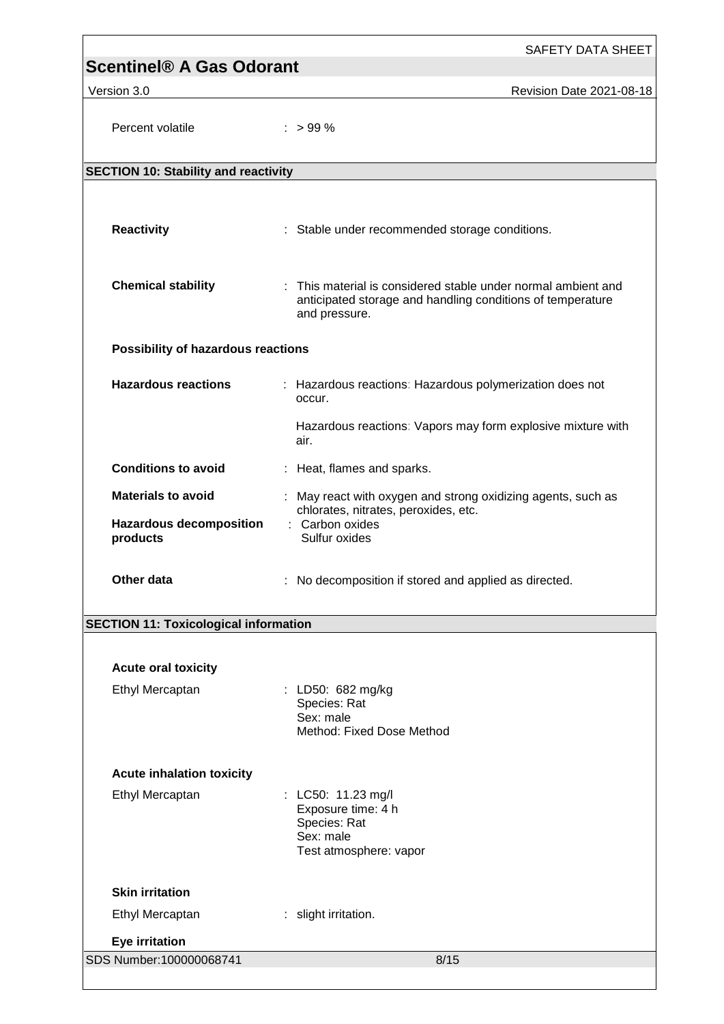| <b>Scentinel® A Gas Odorant</b>               | <b>SAFETY DATA SHEET</b>                                                                                                                     |
|-----------------------------------------------|----------------------------------------------------------------------------------------------------------------------------------------------|
| Version 3.0                                   | Revision Date 2021-08-18                                                                                                                     |
|                                               |                                                                                                                                              |
| Percent volatile                              | $:$ > 99 %                                                                                                                                   |
| <b>SECTION 10: Stability and reactivity</b>   |                                                                                                                                              |
|                                               |                                                                                                                                              |
| <b>Reactivity</b>                             | : Stable under recommended storage conditions.                                                                                               |
| <b>Chemical stability</b>                     | : This material is considered stable under normal ambient and<br>anticipated storage and handling conditions of temperature<br>and pressure. |
| Possibility of hazardous reactions            |                                                                                                                                              |
| <b>Hazardous reactions</b>                    | : Hazardous reactions: Hazardous polymerization does not<br>occur.                                                                           |
|                                               | Hazardous reactions: Vapors may form explosive mixture with<br>air.                                                                          |
| <b>Conditions to avoid</b>                    | : Heat, flames and sparks.                                                                                                                   |
| <b>Materials to avoid</b>                     | May react with oxygen and strong oxidizing agents, such as                                                                                   |
| <b>Hazardous decomposition</b><br>products    | chlorates, nitrates, peroxides, etc.<br>: Carbon oxides<br>Sulfur oxides                                                                     |
| Other data                                    | : No decomposition if stored and applied as directed.                                                                                        |
| <b>SECTION 11: Toxicological information</b>  |                                                                                                                                              |
|                                               |                                                                                                                                              |
| <b>Acute oral toxicity</b><br>Ethyl Mercaptan | : LD50: 682 mg/kg                                                                                                                            |
|                                               | Species: Rat                                                                                                                                 |
|                                               | Sex: male<br>Method: Fixed Dose Method                                                                                                       |
| <b>Acute inhalation toxicity</b>              |                                                                                                                                              |
| Ethyl Mercaptan                               | : LC50: 11.23 mg/l                                                                                                                           |
|                                               | Exposure time: 4 h<br>Species: Rat<br>Sex: male<br>Test atmosphere: vapor                                                                    |
| <b>Skin irritation</b>                        |                                                                                                                                              |
| Ethyl Mercaptan                               | : slight irritation.                                                                                                                         |
| <b>Eye irritation</b>                         |                                                                                                                                              |
| SDS Number:100000068741                       | 8/15                                                                                                                                         |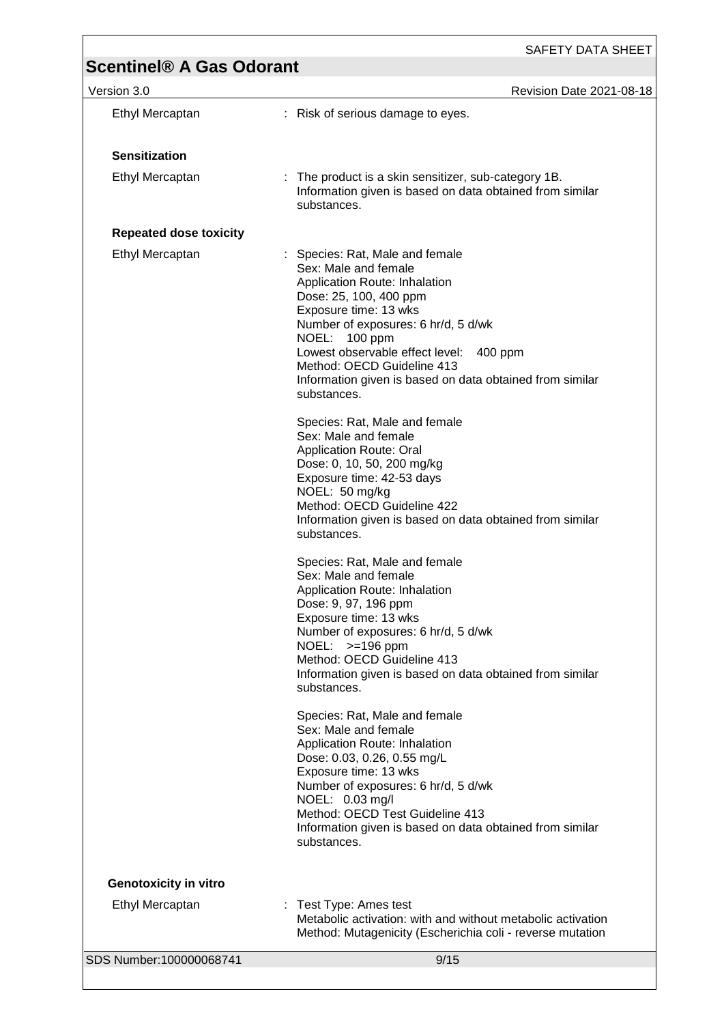## **Scentinel® A Gas Odorant**  Version 3.0 Revision Date 2021-08-18 SDS Number:100000068741 9/15 Ethyl Mercaptan : Risk of serious damage to eyes. **Sensitization** Ethyl Mercaptan : The product is a skin sensitizer, sub-category 1B. Information given is based on data obtained from similar substances. **Repeated dose toxicity** Ethyl Mercaptan : Species: Rat, Male and female Sex: Male and female Application Route: Inhalation Dose: 25, 100, 400 ppm Exposure time: 13 wks Number of exposures: 6 hr/d, 5 d/wk NOEL: 100 ppm Lowest observable effect level: 400 ppm Method: OECD Guideline 413 Information given is based on data obtained from similar substances. Species: Rat, Male and female Sex: Male and female Application Route: Oral Dose: 0, 10, 50, 200 mg/kg Exposure time: 42-53 days NOEL: 50 mg/kg Method: OECD Guideline 422 Information given is based on data obtained from similar substances. Species: Rat, Male and female Sex: Male and female Application Route: Inhalation Dose: 9, 97, 196 ppm Exposure time: 13 wks Number of exposures: 6 hr/d, 5 d/wk NOEL: >=196 ppm Method: OECD Guideline 413 Information given is based on data obtained from similar substances. Species: Rat, Male and female Sex: Male and female Application Route: Inhalation Dose: 0.03, 0.26, 0.55 mg/L Exposure time: 13 wks Number of exposures: 6 hr/d, 5 d/wk NOEL: 0.03 mg/l Method: OECD Test Guideline 413 Information given is based on data obtained from similar substances. **Genotoxicity in vitro** Ethyl Mercaptan : Test Type: Ames test Metabolic activation: with and without metabolic activation Method: Mutagenicity (Escherichia coli - reverse mutation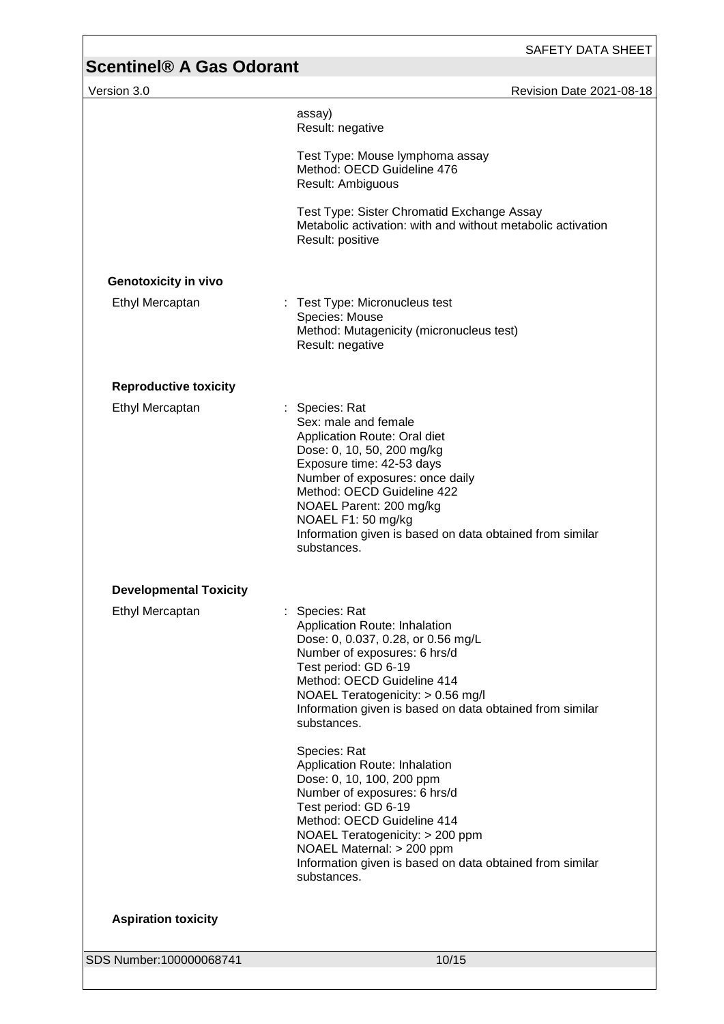#### SAFETY DATA SHEET

## **Scentinel® A Gas Odorant**  Version 3.0 Revision Date 2021-08-18 assay) Result: negative Test Type: Mouse lymphoma assay Method: OECD Guideline 476 Result: Ambiguous Test Type: Sister Chromatid Exchange Assay Metabolic activation: with and without metabolic activation Result: positive **Genotoxicity in vivo** Ethyl Mercaptan : Test Type: Micronucleus test Species: Mouse Method: Mutagenicity (micronucleus test) Result: negative **Reproductive toxicity** Ethyl Mercaptan : Species: Rat Sex: male and female Application Route: Oral diet Dose: 0, 10, 50, 200 mg/kg Exposure time: 42-53 days Number of exposures: once daily Method: OECD Guideline 422 NOAEL Parent: 200 mg/kg NOAEL F1: 50 mg/kg Information given is based on data obtained from similar substances. **Developmental Toxicity** Ethyl Mercaptan : Species: Rat Application Route: Inhalation Dose: 0, 0.037, 0.28, or 0.56 mg/L Number of exposures: 6 hrs/d Test period: GD 6-19 Method: OECD Guideline 414 NOAEL Teratogenicity: > 0.56 mg/l Information given is based on data obtained from similar substances.

Species: Rat Application Route: Inhalation Dose: 0, 10, 100, 200 ppm Number of exposures: 6 hrs/d Test period: GD 6-19 Method: OECD Guideline 414 NOAEL Teratogenicity: > 200 ppm NOAEL Maternal: > 200 ppm Information given is based on data obtained from similar substances.

### **Aspiration toxicity**

SDS Number:100000068741 10/15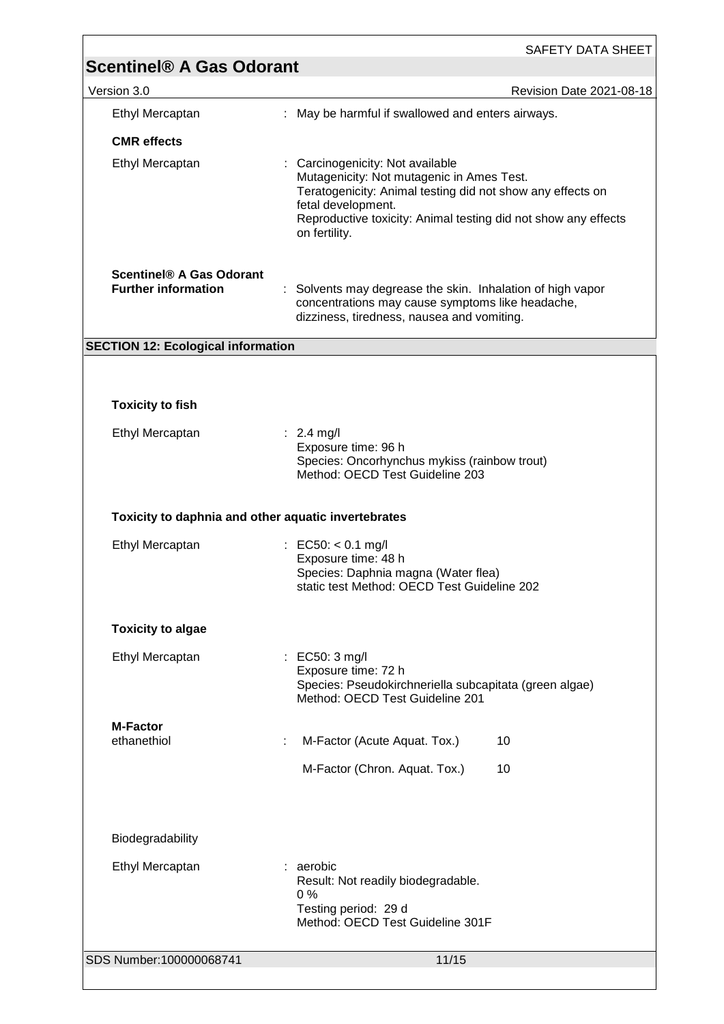|                                                        | <b>SAFETY DATA SHEET</b>                                                                                                                                                                                                                             |
|--------------------------------------------------------|------------------------------------------------------------------------------------------------------------------------------------------------------------------------------------------------------------------------------------------------------|
| <b>Scentinel® A Gas Odorant</b>                        |                                                                                                                                                                                                                                                      |
| Version 3.0                                            | Revision Date 2021-08-18<br>: May be harmful if swallowed and enters airways.                                                                                                                                                                        |
| Ethyl Mercaptan                                        |                                                                                                                                                                                                                                                      |
| <b>CMR</b> effects<br>Ethyl Mercaptan                  | : Carcinogenicity: Not available<br>Mutagenicity: Not mutagenic in Ames Test.<br>Teratogenicity: Animal testing did not show any effects on<br>fetal development.<br>Reproductive toxicity: Animal testing did not show any effects<br>on fertility. |
| Scentinel® A Gas Odorant<br><b>Further information</b> | : Solvents may degrease the skin. Inhalation of high vapor<br>concentrations may cause symptoms like headache,<br>dizziness, tiredness, nausea and vomiting.                                                                                         |
| <b>SECTION 12: Ecological information</b>              |                                                                                                                                                                                                                                                      |
|                                                        |                                                                                                                                                                                                                                                      |
| <b>Toxicity to fish</b>                                |                                                                                                                                                                                                                                                      |
| Ethyl Mercaptan                                        | : $2.4 \text{ mg/l}$<br>Exposure time: 96 h<br>Species: Oncorhynchus mykiss (rainbow trout)<br>Method: OECD Test Guideline 203                                                                                                                       |
| Toxicity to daphnia and other aquatic invertebrates    |                                                                                                                                                                                                                                                      |
| Ethyl Mercaptan                                        | : EC50: < 0.1 mg/l<br>Exposure time: 48 h<br>Species: Daphnia magna (Water flea)<br>static test Method: OECD Test Guideline 202                                                                                                                      |
| <b>Toxicity to algae</b>                               |                                                                                                                                                                                                                                                      |
| Ethyl Mercaptan                                        | : EC50: 3 mg/l<br>Exposure time: 72 h<br>Species: Pseudokirchneriella subcapitata (green algae)<br>Method: OECD Test Guideline 201                                                                                                                   |
| <b>M-Factor</b><br>ethanethiol                         |                                                                                                                                                                                                                                                      |
|                                                        | M-Factor (Acute Aquat. Tox.)<br>10                                                                                                                                                                                                                   |
|                                                        | M-Factor (Chron. Aquat. Tox.)<br>10                                                                                                                                                                                                                  |
| Biodegradability                                       |                                                                                                                                                                                                                                                      |
| Ethyl Mercaptan                                        | : aerobic<br>Result: Not readily biodegradable.<br>0%<br>Testing period: 29 d<br>Method: OECD Test Guideline 301F                                                                                                                                    |
| SDS Number:100000068741                                | 11/15                                                                                                                                                                                                                                                |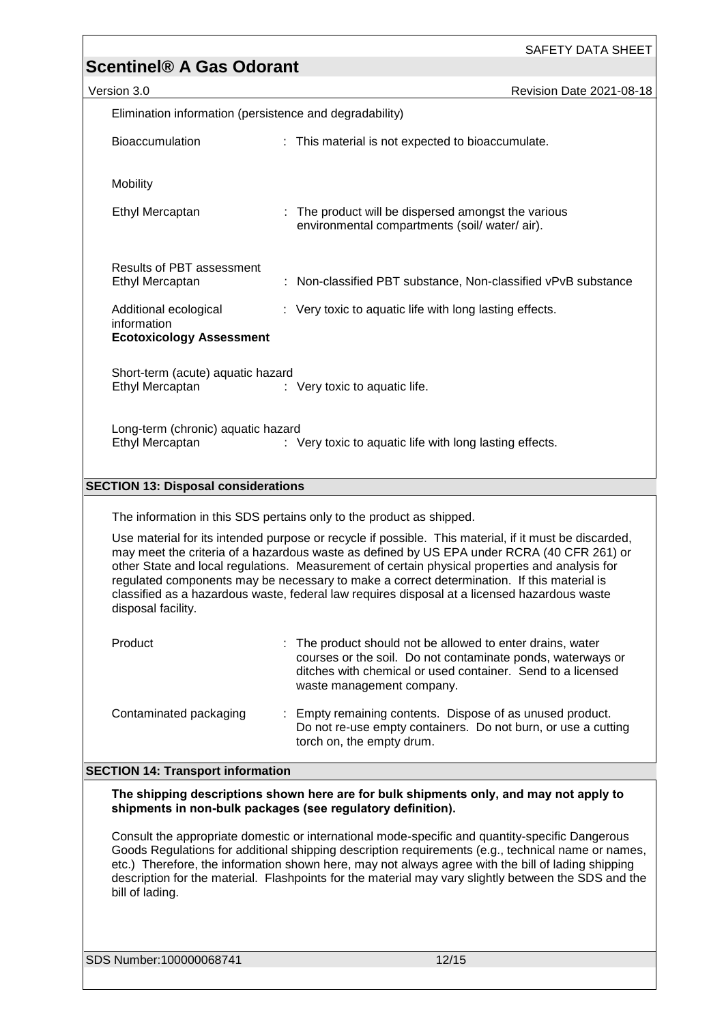|                                                                         | SAFETY DATA SHEET                                                                                                                                                                                                                                                                                                                                                                                                                                                                                   |  |  |  |  |
|-------------------------------------------------------------------------|-----------------------------------------------------------------------------------------------------------------------------------------------------------------------------------------------------------------------------------------------------------------------------------------------------------------------------------------------------------------------------------------------------------------------------------------------------------------------------------------------------|--|--|--|--|
| <b>Scentinel® A Gas Odorant</b>                                         |                                                                                                                                                                                                                                                                                                                                                                                                                                                                                                     |  |  |  |  |
| Version 3.0                                                             | Revision Date 2021-08-18                                                                                                                                                                                                                                                                                                                                                                                                                                                                            |  |  |  |  |
| Elimination information (persistence and degradability)                 |                                                                                                                                                                                                                                                                                                                                                                                                                                                                                                     |  |  |  |  |
| Bioaccumulation                                                         | : This material is not expected to bioaccumulate.                                                                                                                                                                                                                                                                                                                                                                                                                                                   |  |  |  |  |
| Mobility                                                                |                                                                                                                                                                                                                                                                                                                                                                                                                                                                                                     |  |  |  |  |
| Ethyl Mercaptan                                                         | : The product will be dispersed amongst the various<br>environmental compartments (soil/water/air).                                                                                                                                                                                                                                                                                                                                                                                                 |  |  |  |  |
| <b>Results of PBT assessment</b><br>Ethyl Mercaptan                     | Non-classified PBT substance, Non-classified vPvB substance                                                                                                                                                                                                                                                                                                                                                                                                                                         |  |  |  |  |
| Additional ecological<br>information<br><b>Ecotoxicology Assessment</b> | : Very toxic to aquatic life with long lasting effects.                                                                                                                                                                                                                                                                                                                                                                                                                                             |  |  |  |  |
| Short-term (acute) aquatic hazard<br>Ethyl Mercaptan                    | : Very toxic to aquatic life.                                                                                                                                                                                                                                                                                                                                                                                                                                                                       |  |  |  |  |
| Long-term (chronic) aquatic hazard<br>Ethyl Mercaptan                   | : Very toxic to aquatic life with long lasting effects.                                                                                                                                                                                                                                                                                                                                                                                                                                             |  |  |  |  |
| <b>SECTION 13: Disposal considerations</b>                              |                                                                                                                                                                                                                                                                                                                                                                                                                                                                                                     |  |  |  |  |
|                                                                         |                                                                                                                                                                                                                                                                                                                                                                                                                                                                                                     |  |  |  |  |
|                                                                         | The information in this SDS pertains only to the product as shipped.                                                                                                                                                                                                                                                                                                                                                                                                                                |  |  |  |  |
| disposal facility.                                                      | Use material for its intended purpose or recycle if possible. This material, if it must be discarded,<br>may meet the criteria of a hazardous waste as defined by US EPA under RCRA (40 CFR 261) or<br>other State and local regulations. Measurement of certain physical properties and analysis for<br>regulated components may be necessary to make a correct determination. If this material is<br>classified as a hazardous waste, federal law requires disposal at a licensed hazardous waste |  |  |  |  |
| Product                                                                 | : The product should not be allowed to enter drains, water<br>courses or the soil. Do not contaminate ponds, waterways or<br>ditches with chemical or used container. Send to a licensed<br>waste management company.                                                                                                                                                                                                                                                                               |  |  |  |  |
| Contaminated packaging                                                  | Empty remaining contents. Dispose of as unused product.<br>Do not re-use empty containers. Do not burn, or use a cutting<br>torch on, the empty drum.                                                                                                                                                                                                                                                                                                                                               |  |  |  |  |
| <b>SECTION 14: Transport information</b>                                |                                                                                                                                                                                                                                                                                                                                                                                                                                                                                                     |  |  |  |  |
|                                                                         | The shipping descriptions shown here are for bulk shipments only, and may not apply to<br>shipments in non-bulk packages (see regulatory definition).                                                                                                                                                                                                                                                                                                                                               |  |  |  |  |
| bill of lading.                                                         | Consult the appropriate domestic or international mode-specific and quantity-specific Dangerous<br>Goods Regulations for additional shipping description requirements (e.g., technical name or names,<br>etc.) Therefore, the information shown here, may not always agree with the bill of lading shipping<br>description for the material. Flashpoints for the material may vary slightly between the SDS and the                                                                                 |  |  |  |  |
| SDS Number:100000068741                                                 | 12/15                                                                                                                                                                                                                                                                                                                                                                                                                                                                                               |  |  |  |  |

<u> 1989 - Johann Barn, mars et al. (b. 1989)</u>

 $\overline{1}$ 

 $\overline{\phantom{a}}$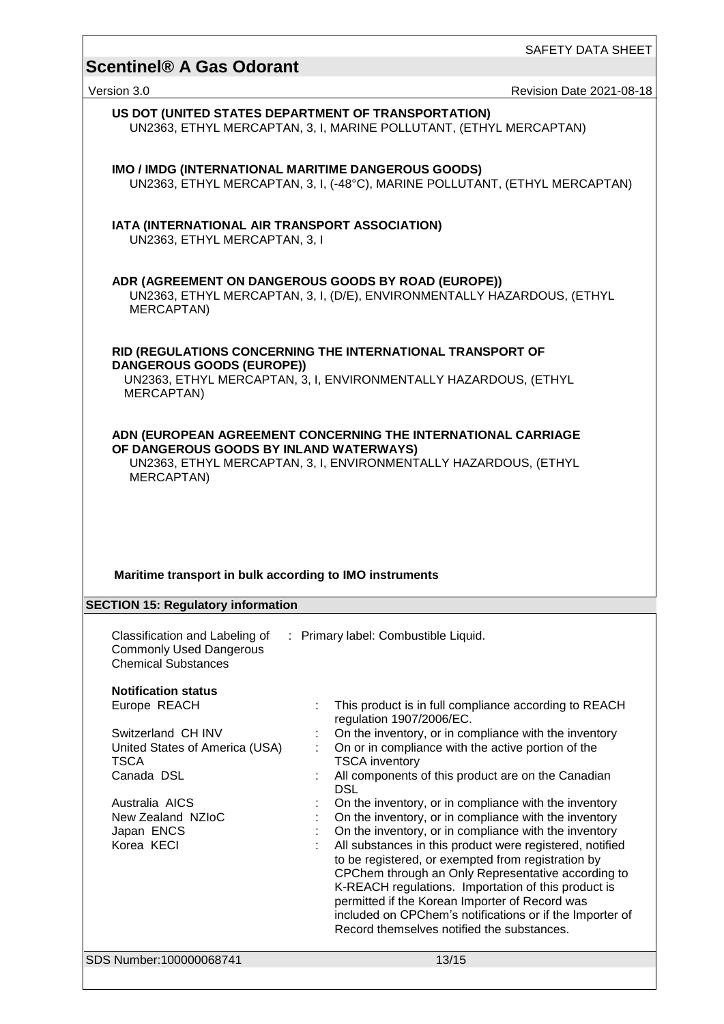SAFETY DATA SHEET

# **Scentinel® A Gas Odorant**  Version 3.0 Revision Date 2021-08-18 SDS Number:100000068741 13/15 **US DOT (UNITED STATES DEPARTMENT OF TRANSPORTATION)** UN2363, ETHYL MERCAPTAN, 3, I, MARINE POLLUTANT, (ETHYL MERCAPTAN) **IMO / IMDG (INTERNATIONAL MARITIME DANGEROUS GOODS)** UN2363, ETHYL MERCAPTAN, 3, I, (-48°C), MARINE POLLUTANT, (ETHYL MERCAPTAN) **IATA (INTERNATIONAL AIR TRANSPORT ASSOCIATION)** UN2363, ETHYL MERCAPTAN, 3, I **ADR (AGREEMENT ON DANGEROUS GOODS BY ROAD (EUROPE))** UN2363, ETHYL MERCAPTAN, 3, I, (D/E), ENVIRONMENTALLY HAZARDOUS, (ETHYL MERCAPTAN) **RID (REGULATIONS CONCERNING THE INTERNATIONAL TRANSPORT OF DANGEROUS GOODS (EUROPE))** UN2363, ETHYL MERCAPTAN, 3, I, ENVIRONMENTALLY HAZARDOUS, (ETHYL MERCAPTAN) **ADN (EUROPEAN AGREEMENT CONCERNING THE INTERNATIONAL CARRIAGE OF DANGEROUS GOODS BY INLAND WATERWAYS)** UN2363, ETHYL MERCAPTAN, 3, I, ENVIRONMENTALLY HAZARDOUS, (ETHYL MERCAPTAN) **Maritime transport in bulk according to IMO instruments SECTION 15: Regulatory information** Classification and Labeling of Commonly Used Dangerous Chemical Substances : Primary label: Combustible Liquid. **Notification status** Europe REACH : This product is in full compliance according to REACH regulation 1907/2006/EC. Switzerland CH INV : On the inventory, or in compliance with the inventory United States of America (USA) **TSCA** : On or in compliance with the active portion of the TSCA inventory Canada DSL **Canadian** : All components of this product are on the Canadian DSL Australia AICS : On the inventory, or in compliance with the inventory<br>New Zealand NZIoC : On the inventory, or in compliance with the inventory New Zealand NZIoC : On the inventory, or in compliance with the inventory<br>Japan ENCS : On the inventory, or in compliance with the inventory Japan ENCS : On the inventory, or in compliance with the inventory<br>Korea KECI : All substances in this product were registered, notified : All substances in this product were registered, notified to be registered, or exempted from registration by CPChem through an Only Representative according to K-REACH regulations. Importation of this product is permitted if the Korean Importer of Record was included on CPChem's notifications or if the Importer of Record themselves notified the substances.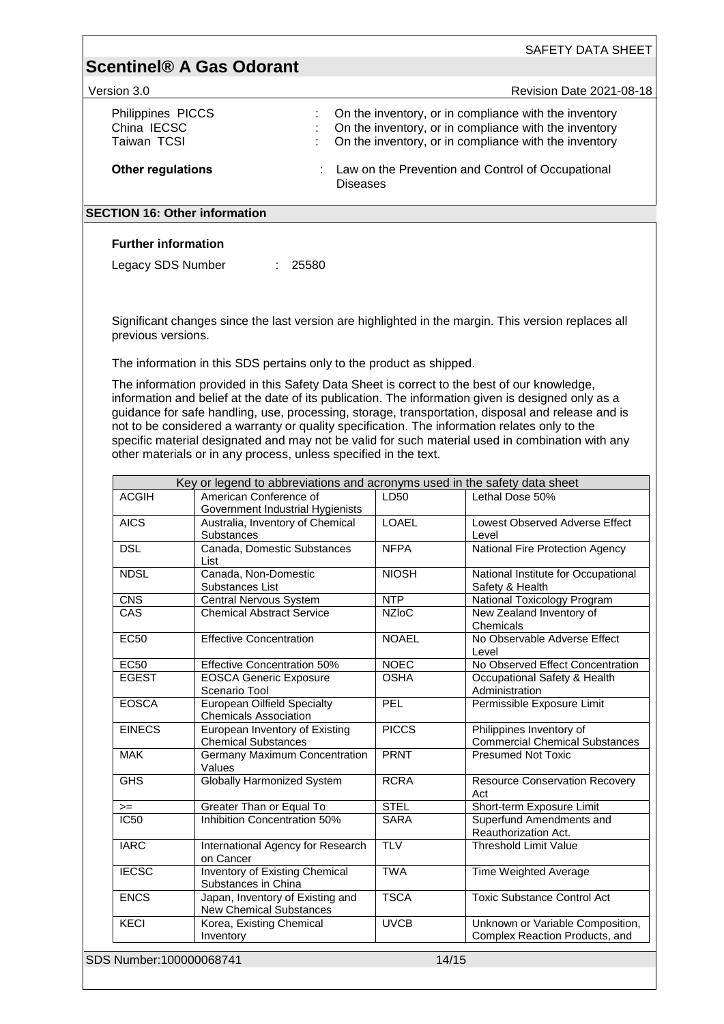|                                                                             |       | SAFETY DATA SHEET                                                                                                                                                                                                                        |
|-----------------------------------------------------------------------------|-------|------------------------------------------------------------------------------------------------------------------------------------------------------------------------------------------------------------------------------------------|
| <b>Scentinel® A Gas Odorant</b>                                             |       |                                                                                                                                                                                                                                          |
| Version 3.0                                                                 |       | <b>Revision Date 2021-08-18</b>                                                                                                                                                                                                          |
| Philippines PICCS<br>China IECSC<br>Taiwan TCSI<br><b>Other regulations</b> |       | On the inventory, or in compliance with the inventory<br>On the inventory, or in compliance with the inventory<br>On the inventory, or in compliance with the inventory<br>Law on the Prevention and Control of Occupational<br>Diseases |
| <b>SECTION 16: Other information</b>                                        |       |                                                                                                                                                                                                                                          |
| <b>Further information</b><br>Legacy SDS Number                             | 25580 |                                                                                                                                                                                                                                          |

Significant changes since the last version are highlighted in the margin. This version replaces all previous versions.

The information in this SDS pertains only to the product as shipped.

The information provided in this Safety Data Sheet is correct to the best of our knowledge, information and belief at the date of its publication. The information given is designed only as a guidance for safe handling, use, processing, storage, transportation, disposal and release and is not to be considered a warranty or quality specification. The information relates only to the specific material designated and may not be valid for such material used in combination with any other materials or in any process, unless specified in the text.

| <b>ACGIH</b>      | Key or legend to abbreviations and acronyms used in the safety data sheet<br>American Conference of | LD50         | Lethal Dose 50%                              |
|-------------------|-----------------------------------------------------------------------------------------------------|--------------|----------------------------------------------|
|                   | Government Industrial Hygienists                                                                    |              |                                              |
| <b>AICS</b>       | Australia, Inventory of Chemical                                                                    | <b>LOAEL</b> | Lowest Observed Adverse Effect               |
|                   | <b>Substances</b>                                                                                   |              | Level                                        |
| <b>DSL</b>        | Canada, Domestic Substances                                                                         | <b>NFPA</b>  | National Fire Protection Agency              |
|                   | List                                                                                                |              |                                              |
| <b>NDSL</b>       | Canada, Non-Domestic                                                                                | <b>NIOSH</b> | National Institute for Occupational          |
|                   | Substances List                                                                                     |              | Safety & Health                              |
| <b>CNS</b><br>CAS | Central Nervous System                                                                              | <b>NTP</b>   | National Toxicology Program                  |
|                   | <b>Chemical Abstract Service</b>                                                                    | <b>NZIoC</b> | New Zealand Inventory of<br>Chemicals        |
| <b>EC50</b>       | <b>Effective Concentration</b>                                                                      | <b>NOAEL</b> | No Observable Adverse Effect                 |
|                   |                                                                                                     |              | Level                                        |
| <b>EC50</b>       | <b>Effective Concentration 50%</b>                                                                  | <b>NOEC</b>  | No Observed Effect Concentration             |
| <b>EGEST</b>      | <b>EOSCA Generic Exposure</b>                                                                       | <b>OSHA</b>  | Occupational Safety & Health                 |
|                   | Scenario Tool                                                                                       |              | Administration                               |
| <b>EOSCA</b>      | <b>European Oilfield Specialty</b>                                                                  | PEL          | Permissible Exposure Limit                   |
|                   | <b>Chemicals Association</b>                                                                        |              |                                              |
| <b>EINECS</b>     | European Inventory of Existing                                                                      | <b>PICCS</b> | Philippines Inventory of                     |
|                   | <b>Chemical Substances</b>                                                                          |              | <b>Commercial Chemical Substances</b>        |
| <b>MAK</b>        | Germany Maximum Concentration                                                                       | <b>PRNT</b>  | <b>Presumed Not Toxic</b>                    |
|                   | Values                                                                                              |              |                                              |
| <b>GHS</b>        | <b>Globally Harmonized System</b>                                                                   | <b>RCRA</b>  | <b>Resource Conservation Recovery</b><br>Act |
| $>=$              | Greater Than or Equal To                                                                            | <b>STEL</b>  | Short-term Exposure Limit                    |
| <b>IC50</b>       | Inhibition Concentration 50%                                                                        | <b>SARA</b>  | Superfund Amendments and                     |
|                   |                                                                                                     |              | Reauthorization Act.                         |
| <b>IARC</b>       | International Agency for Research                                                                   | <b>TLV</b>   | <b>Threshold Limit Value</b>                 |
|                   | on Cancer                                                                                           |              |                                              |
| <b>IECSC</b>      | <b>Inventory of Existing Chemical</b>                                                               | <b>TWA</b>   | Time Weighted Average                        |
|                   | Substances in China                                                                                 |              |                                              |
| <b>ENCS</b>       | Japan, Inventory of Existing and                                                                    | <b>TSCA</b>  | <b>Toxic Substance Control Act</b>           |
|                   | <b>New Chemical Substances</b>                                                                      |              |                                              |
| <b>KECI</b>       | Korea, Existing Chemical                                                                            | <b>UVCB</b>  | Unknown or Variable Composition,             |
|                   | Inventory                                                                                           |              | Complex Reaction Products, and               |